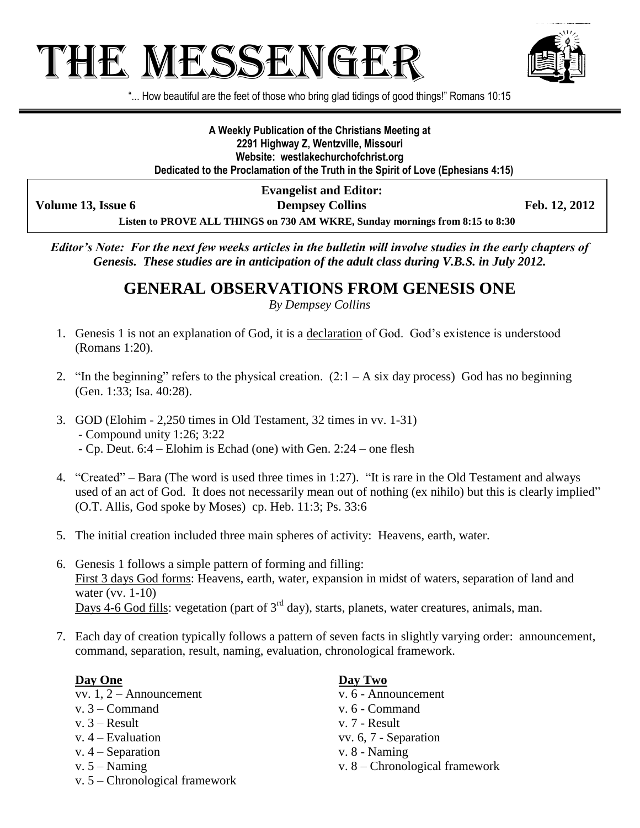# THE MESSENGE:



"... How beautiful are the feet of those who bring glad tidings of good things!" Romans 10:15

**A Weekly Publication of the Christians Meeting at 2291 Highway Z, Wentzville, Missouri Website: westlakechurchofchrist.org Dedicated to the Proclamation of the Truth in the Spirit of Love (Ephesians 4:15)**

**Evangelist and Editor:**

**Volume 13, Issue 6 Dempsey Collins Feb. 12, 2012**

**Listen to PROVE ALL THINGS on 730 AM WKRE, Sunday mornings from 8:15 to 8:30**

*Editor's Note: For the next few weeks articles in the bulletin will involve studies in the early chapters of Genesis. These studies are in anticipation of the adult class during V.B.S. in July 2012.*

## **GENERAL OBSERVATIONS FROM GENESIS ONE**

*By Dempsey Collins*

- 1. Genesis 1 is not an explanation of God, it is a declaration of God. God's existence is understood (Romans 1:20).
- 2. "In the beginning" refers to the physical creation.  $(2:1 A \text{ six day process})$  God has no beginning (Gen. 1:33; Isa. 40:28).
- 3. GOD (Elohim 2,250 times in Old Testament, 32 times in vv. 1-31) - Compound unity 1:26; 3:22 - Cp. Deut. 6:4 – Elohim is Echad (one) with Gen. 2:24 – one flesh
- 4. "Created" Bara (The word is used three times in 1:27). "It is rare in the Old Testament and always used of an act of God. It does not necessarily mean out of nothing (ex nihilo) but this is clearly implied" (O.T. Allis, God spoke by Moses) cp. Heb. 11:3; Ps. 33:6
- 5. The initial creation included three main spheres of activity: Heavens, earth, water.
- 6. Genesis 1 follows a simple pattern of forming and filling: First 3 days God forms: Heavens, earth, water, expansion in midst of waters, separation of land and water (vv. 1-10) Days 4-6 God fills: vegetation (part of  $3<sup>rd</sup>$  day), starts, planets, water creatures, animals, man.
- 7. Each day of creation typically follows a pattern of seven facts in slightly varying order: announcement, command, separation, result, naming, evaluation, chronological framework.

### **Day One Day Two**

vv. 1, 2 – Announcement v. 6 - Announcement

- v. 3 Command v. 6 Command
- v.  $3 Result$  v.  $7 Result$
- 
- v. 4 Separation v. 8 Naming
- 
- v. 5 Chronological framework

- 
- 
- 
- v. 4 Evaluation vv. 6, 7 Separation
	-
- v. 5 Naming v. 8 Chronological framework